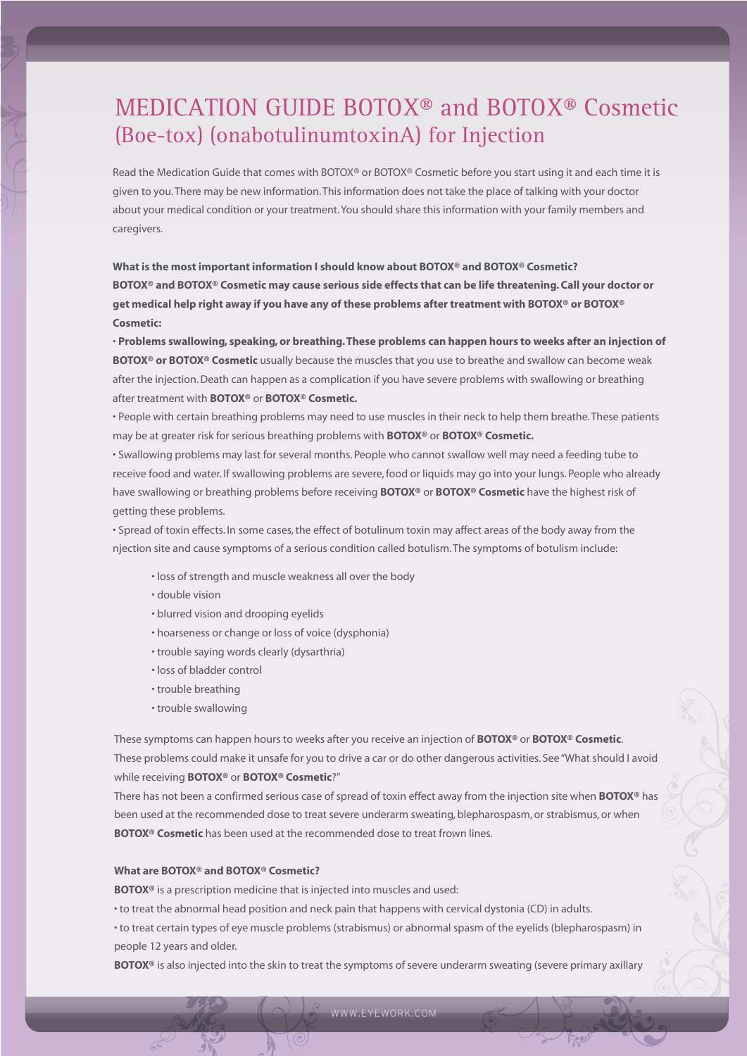# MEDICATION GUIDE BOTOX® and BOTOX® Cosmetic (Boe-tox) (onabotulinumtoxinA) for Injection

Read the Medication Guide that comes with BOTOX® or BOTOX® Cosmetic before you start using it and each time it is given to you. There may be new information. This information does not take the place of talking with your doctor about your medical condition or your treatment. You should share this information with your family members and caregivers.

**What is the most important information I should know about BOTOX® and BOTOX® Cosmetic? BOTOX® and BOTOX® Cosmetic may cause serious side effects that can be life threatening. Call your doctor or get medical help right away if you have any of these problems after treatment with BOTOX® or BOTOX® Cosmetic:**

• **Problems swallowing, speaking, or breathing. These problems can happen hours to weeks after an injection of BOTOX® or BOTOX® Cosmetic** usually because the muscles that you use to breathe and swallow can become weak after the injection. Death can happen as a complication if you have severe problems with swallowing or breathing after treatment with **BOTOX®** or **BOTOX® Cosmetic.**

• People with certain breathing problems may need to use muscles in their neck to help them breathe. These patients may be at greater risk for serious breathing problems with **BOTOX®** or **BOTOX® Cosmetic.**

• Swallowing problems may last for several months. People who cannot swallow well may need a feeding tube to receive food and water. If swallowing problems are severe, food or liquids may go into your lungs. People who already have swallowing or breathing problems before receiving **BOTOX®** or **BOTOX® Cosmetic** have the highest risk of getting these problems.

• Spread of toxin effects. In some cases, the effect of botulinum toxin may affect areas of the body away from the njection site and cause symptoms of a serious condition called botulism. The symptoms of botulism include:

- loss of strength and muscle weakness all over the body
- double vision
- blurred vision and drooping eyelids
- hoarseness or change or loss of voice (dysphonia)
- trouble saying words clearly (dysarthria)
- loss of bladder control
- trouble breathing
- trouble swallowing

These symptoms can happen hours to weeks after you receive an injection of **BOTOX®** or **BOTOX® Cosmetic**. These problems could make it unsafe for you to drive a car or do other dangerous activities. See "What should I avoid while receiving **BOTOX®** or **BOTOX® Cosmetic**?"

There has not been a confirmed serious case of spread of toxin effect away from the injection site when **BOTOX®** has been used at the recommended dose to treat severe underarm sweating, blepharospasm, or strabismus, or when **BOTOX® Cosmetic** has been used at the recommended dose to treat frown lines.

## **What are BOTOX® and BOTOX® Cosmetic?**

**BOTOX®** is a prescription medicine that is injected into muscles and used:

• to treat the abnormal head position and neck pain that happens with cervical dystonia (CD) in adults.

• to treat certain types of eye muscle problems (strabismus) or abnormal spasm of the eyelids (blepharospasm) in people 12 years and older.

**BOTOX®** is also injected into the skin to treat the symptoms of severe underarm sweating (severe primary axillary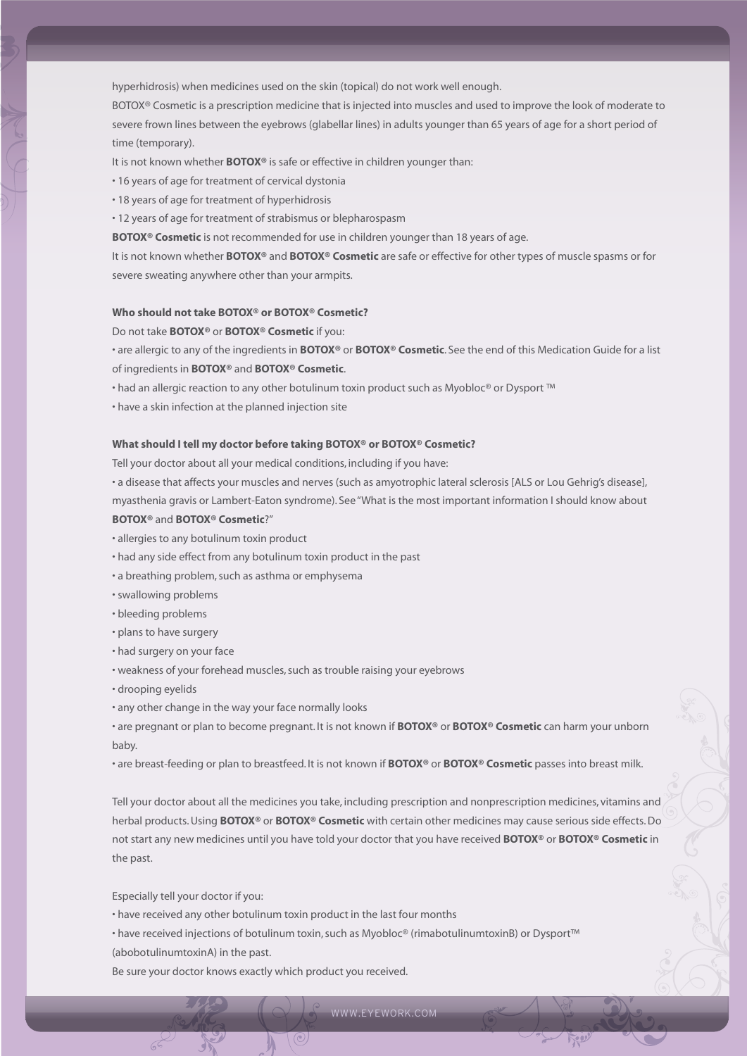hyperhidrosis) when medicines used on the skin (topical) do not work well enough.

BOTOX® Cosmetic is a prescription medicine that is injected into muscles and used to improve the look of moderate to severe frown lines between the eyebrows (glabellar lines) in adults younger than 65 years of age for a short period of time (temporary).

It is not known whether **BOTOX®** is safe or effective in children younger than:

- 16 years of age for treatment of cervical dystonia
- 18 years of age for treatment of hyperhidrosis
- 12 years of age for treatment of strabismus or blepharospasm

**BOTOX® Cosmetic** is not recommended for use in children younger than 18 years of age.

It is not known whether **BOTOX®** and **BOTOX® Cosmetic** are safe or effective for other types of muscle spasms or for severe sweating anywhere other than your armpits.

#### **Who should not take BOTOX® or BOTOX® Cosmetic?**

#### Do not take **BOTOX®** or **BOTOX® Cosmetic** if you:

• are allergic to any of the ingredients in **BOTOX®** or **BOTOX® Cosmetic**. See the end of this Medication Guide for a list of ingredients in **BOTOX®** and **BOTOX® Cosmetic**.

• had an allergic reaction to any other botulinum toxin product such as Myobloc® or Dysport ™

• have a skin infection at the planned injection site

### **What should I tell my doctor before taking BOTOX® or BOTOX® Cosmetic?**

Tell your doctor about all your medical conditions, including if you have:

• a disease that affects your muscles and nerves (such as amyotrophic lateral sclerosis [ALS or Lou Gehrig's disease], myasthenia gravis or Lambert-Eaton syndrome). See "What is the most important information I should know about

## **BOTOX®** and **BOTOX® Cosmetic**?"

- allergies to any botulinum toxin product
- had any side effect from any botulinum toxin product in the past
- a breathing problem, such as asthma or emphysema
- swallowing problems
- bleeding problems
- plans to have surgery
- had surgery on your face
- weakness of your forehead muscles, such as trouble raising your eyebrows
- drooping eyelids
- any other change in the way your face normally looks

• are pregnant or plan to become pregnant. It is not known if **BOTOX®** or **BOTOX® Cosmetic** can harm your unborn baby.

• are breast-feeding or plan to breastfeed. It is not known if **BOTOX®** or **BOTOX® Cosmetic** passes into breast milk.

Tell your doctor about all the medicines you take, including prescription and nonprescription medicines, vitamins and herbal products. Using **BOTOX®** or **BOTOX® Cosmetic** with certain other medicines may cause serious side effects. Do not start any new medicines until you have told your doctor that you have received **BOTOX®** or **BOTOX® Cosmetic** in the past.

Especially tell your doctor if you:

• have received any other botulinum toxin product in the last four months

• have received injections of botulinum toxin, such as Myobloc® (rimabotulinumtoxinB) or Dysport™ (abobotulinumtoxinA) in the past.

Be sure your doctor knows exactly which product you received.